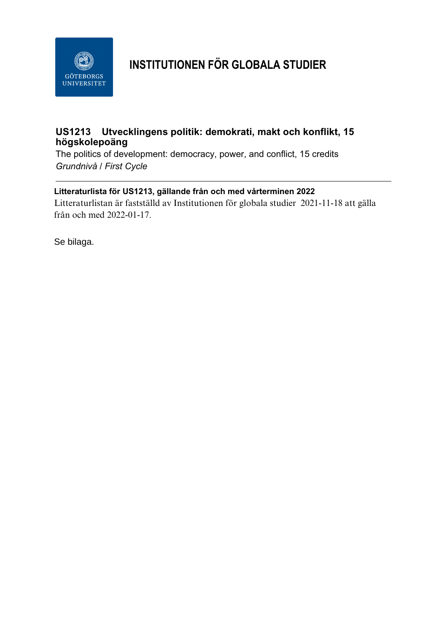

# **INSTITUTIONEN FÖR GLOBALA STUDIER**

### **US1213 Utvecklingens politik: demokrati, makt och konflikt, 15 högskolepoäng**

The politics of development: democracy, power, and conflict, 15 credits *Grundnivå / First Cycle*

### **Litteraturlista för US1213, gällande från och med vårterminen 2022**

Litteraturlistan är fastställd av Institutionen för globala studier 2021-11-18 att gälla från och med 2022-01-17.

Se bilaga.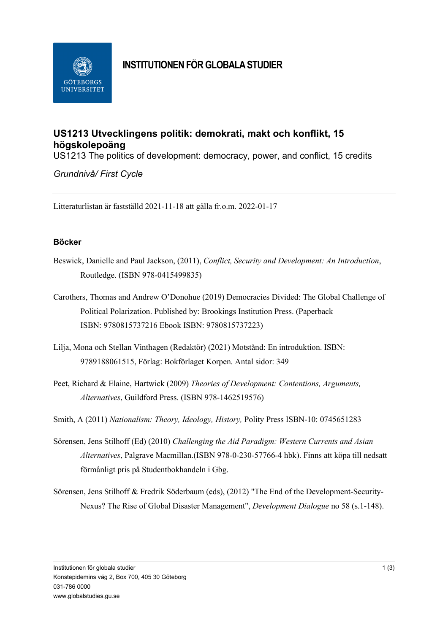

# **INSTITUTIONEN FÖR GLOBALA STUDIER**

## **US1213 Utvecklingens politik: demokrati, makt och konflikt, 15 högskolepoäng**

US1213 The politics of development: democracy, power, and conflict, 15 credits

*Grundnivå/ First Cycle*

Litteraturlistan är fastställd 2021-11-18 att gälla fr.o.m. 2022-01-17

### **Böcker**

- Beswick, Danielle and Paul Jackson, (2011), *Conflict, Security and Development: An Introduction*, Routledge. (ISBN 978-0415499835)
- Carothers, Thomas and Andrew O'Donohue (2019) Democracies Divided: The Global Challenge of Political Polarization. Published by: [Brookings Institution Press.](https://www.jstor.org/publisher/brookings) (Paperback ISBN: 9780815737216 Ebook ISBN: 9780815737223)
- Lilja, Mona och Stellan Vinthagen (Redaktör) (2021) Motstånd: En introduktion. ISBN: 9789188061515, Förlag: Bokförlaget Korpen. Antal sidor: 349
- Peet, Richard & Elaine, Hartwick (2009) *Theories of Development: Contentions, Arguments, Alternatives*, Guildford Press. (ISBN 978-1462519576)

Smith, A (2011) *Nationalism: Theory, Ideology, History,* Polity Press ISBN-10: 0745651283

- Sörensen, Jens Stilhoff (Ed) (2010) *Challenging the Aid Paradigm: Western Currents and Asian Alternatives*, Palgrave Macmillan.(ISBN 978-0-230-57766-4 hbk). Finns att köpa till nedsatt förmånligt pris på Studentbokhandeln i Gbg.
- Sörensen, Jens Stilhoff & Fredrik Söderbaum (eds), (2012) "The End of the Development-Security-Nexus? The Rise of Global Disaster Management", *Development Dialogue* no 58 (s.1-148).